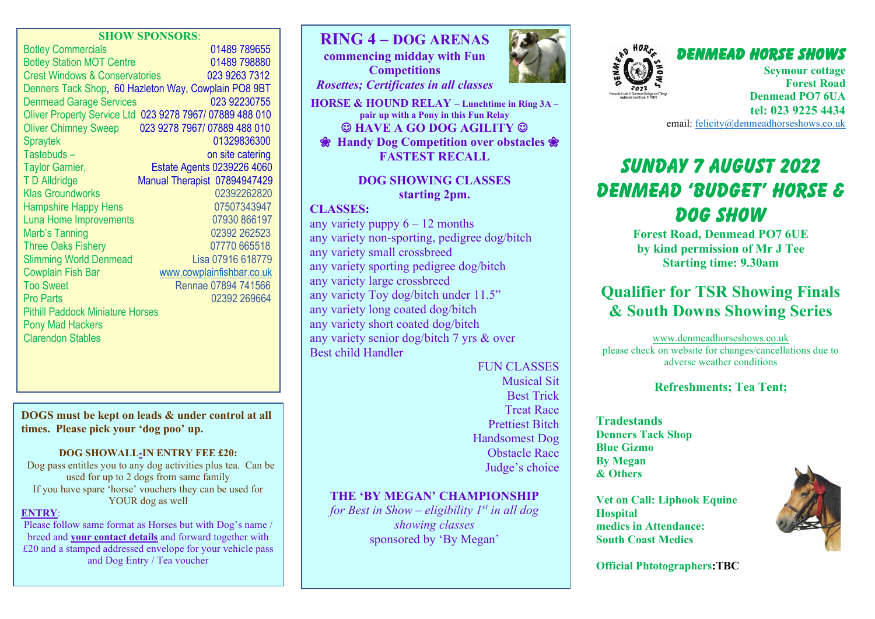#### **SHOW SPONSORS**:

| <b>Botley Commercials</b>                            | 01489 789655                                             |
|------------------------------------------------------|----------------------------------------------------------|
| <b>Botley Station MOT Centre</b>                     | 01489 798880                                             |
| <b>Crest Windows &amp; Conservatories</b>            | 023 9263 7312                                            |
| Denners Tack Shop, 60 Hazleton Way, Cowplain PO8 9BT |                                                          |
| <b>Denmead Garage Services</b>                       | 023 92230755                                             |
|                                                      | Oliver Property Service Ltd 023 9278 7967/ 07889 488 010 |
| <b>Oliver Chimney Sweep</b>                          | 023 9278 7967/ 07889 488 010                             |
| <b>Spraytek</b>                                      | 01329836300                                              |
| Tastebuds-                                           | on site catering                                         |
| <b>Taylor Garnier,</b>                               | Estate Agents 0239226 4060                               |
| <b>TD Alldridge</b>                                  | Manual Therapist 07894947429                             |
| <b>Klas Groundworks</b>                              | 02392262820                                              |
| <b>Hampshire Happy Hens</b>                          | 07507343947                                              |
| Luna Home Improvements                               | 07930 866197                                             |
| Marb's Tanning                                       | 02392 262523                                             |
| <b>Three Oaks Fishery</b>                            | 07770 665518                                             |
| <b>Slimming World Denmead</b>                        | Lisa 07916 618779                                        |
| <b>Cowplain Fish Bar</b>                             | www.cowplainfishbar.co.uk                                |
| <b>Too Sweet</b>                                     | Rennae 07894 741566                                      |
| <b>Pro Parts</b>                                     | 02392 269664                                             |
| <b>Pithill Paddock Miniature Horses</b>              |                                                          |
| <b>Pony Mad Hackers</b>                              |                                                          |
| <b>Clarendon Stables</b>                             |                                                          |

#### **DOGS must be kept on leads & under control at all times. Please pick your 'dog poo' up.**

#### **DOG SHOWALL-IN ENTRY FEE £20:**

Dog pass entitles you to any dog activities plus tea. Can be used for up to 2 dogs from same family If you have spare 'horse' vouchers they can be used for YOUR dog as well

#### **ENTRY**:

Please follow same format as Horses but with Dog's name / breed and **your contact details** and forward together with £20 and a stamped addressed envelope for your vehicle pass and Dog Entry / Tea voucher



**Competitions** *Rosettes; Certificates in all classes*

**HORSE & HOUND RELAY – Lunchtime in Ring 3A – pair up with a Pony in this Fun Relay** ☺ **HAVE A GO DOG AGILITY** ☺

 **Handy Dog Competition over obstacles FASTEST RECALL**

## **DOG SHOWING CLASSES starting 2pm.**

#### **CLASSES:**

any variety puppy  $6 - 12$  months any variety non-sporting, pedigree dog/bitch any variety small crossbreed any variety sporting pedigree dog/bitch any variety large crossbreed any variety Toy dog/bitch under 11.5" any variety long coated dog/bitch any variety short coated dog/bitch any variety senior dog/bitch 7 yrs & over Best child Handler

> FUN CLASSES Musical Sit Best Trick Treat Race Prettiest Bitch Handsomest Dog Obstacle Race Judge's choice

## **THE 'BY MEGAN' CHAMPIONSHIP**

*for Best in Show – eligibility 1st in all dog showing classes* sponsored by 'By Megan'





**Seymour cottage Forest Road Denmead PO7 6UA tel: 023 9225 4434** email: [felicity@denmeadhorseshows.co.uk](mailto:felicity@denmeadhorseshows.co.uk)

# *SUNDAY 7 AUGUST 2022 Denmead 'Budget' Horse & Dog Show*

**Forest Road, Denmead PO7 6UE by kind permission of Mr J Tee Starting time: 9.30am**

## **Qualifier for TSR Showing Finals & South Downs Showing Series**

[www.denmeadhorseshows.co.uk](http://www.denmeadhorseshows.co.uk/) please check on website for changes/cancellations due to adverse weather conditions

## **Refreshments; Tea Tent;**

**Tradestands Denners Tack Shop Blue Gizmo By Megan & Others**

**Vet on Call: Liphook Equine Hospital medics in Attendance: South Coast Medics**



**Official Phtotographers:TBC**